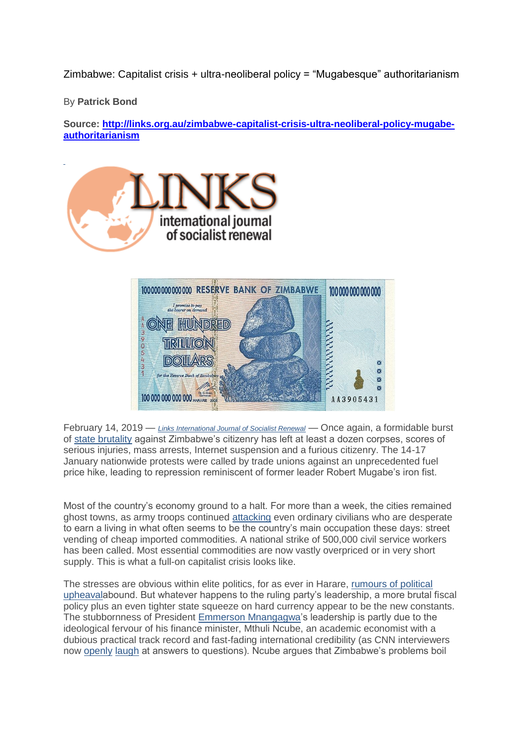Zimbabwe: Capitalist crisis + ultra-neoliberal policy = "Mugabesque" authoritarianism

By **Patrick Bond**

**Source: [http://links.org.au/zimbabwe-capitalist-crisis-ultra-neoliberal-policy-mugabe](http://links.org.au/zimbabwe-capitalist-crisis-ultra-neoliberal-policy-mugabe-authoritarianism)[authoritarianism](http://links.org.au/zimbabwe-capitalist-crisis-ultra-neoliberal-policy-mugabe-authoritarianism)**





February 14, 2019 — *[Links International Journal of Socialist Renewal](http://links.org.au/)* — Once again, a formidable burst of [state brutality](https://ooni.io/post/zimbabwe-protests-social-media-blocking-2019/) against Zimbabwe's citizenry has left at least a dozen corpses, scores of serious injuries, mass arrests, Internet suspension and a furious citizenry. The 14-17 January nationwide protests were called by trade unions against an unprecedented fuel price hike, leading to repression reminiscent of former leader Robert Mugabe's iron fist.

Most of the country's economy ground to a halt. For more than a week, the cities remained ghost towns, as army troops continued [attacking](https://www.news24.com/Africa/Zimbabwe/zimbabwe-troops-assaulting-people-in-capital-20190122) even ordinary civilians who are desperate to earn a living in what often seems to be the country's main occupation these days: street vending of cheap imported commodities. A national strike of 500,000 civil service workers has been called. Most essential commodities are now vastly overpriced or in very short supply. This is what a full-on capitalist crisis looks like.

The stresses are obvious within elite politics, for as ever in Harare, [rumours of political](https://zwnews.com/mnangagwa-chiwenga-succession-wars-blamed-for-deadly-zim-violence/)  [upheavala](https://zwnews.com/mnangagwa-chiwenga-succession-wars-blamed-for-deadly-zim-violence/)bound. But whatever happens to the ruling party's leadership, a more brutal fiscal policy plus an even tighter state squeeze on hard currency appear to be the new constants. The stubbornness of President [Emmerson Mnangagwa'](https://en.wikipedia.org/wiki/Emmerson_Mnangagwa)s leadership is partly due to the ideological fervour of his finance minister, Mthuli Ncube, an academic economist with a dubious practical track record and fast-fading international credibility (as CNN interviewers now [openly](https://www.youtube.com/watch?v=MQdeRH8WzpQ) [laugh](https://www.youtube.com/watch?v=GzkdVGX6idY) at answers to questions). Ncube argues that Zimbabwe's problems boil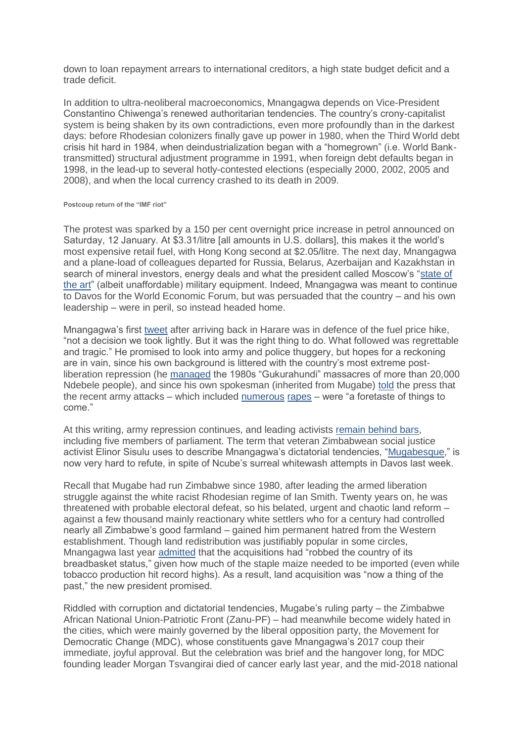down to loan repayment arrears to international creditors, a high state budget deficit and a trade deficit.

In addition to ultra-neoliberal macroeconomics, Mnangagwa depends on Vice-President Constantino Chiwenga's renewed authoritarian tendencies. The country's crony-capitalist system is being shaken by its own contradictions, even more profoundly than in the darkest days: before Rhodesian colonizers finally gave up power in 1980, when the Third World debt crisis hit hard in 1984, when deindustrialization began with a "homegrown" (i.e. World Banktransmitted) structural adjustment programme in 1991, when foreign debt defaults began in 1998, in the lead-up to several hotly-contested elections (especially 2000, 2002, 2005 and 2008), and when the local currency crashed to its death in 2009.

## **Postcoup return of the "IMF riot"**

The protest was sparked by a 150 per cent overnight price increase in petrol announced on Saturday, 12 January. At \$3.31/litre [all amounts in U.S. dollars], this makes it the world's most expensive retail fuel, with Hong Kong second at \$2.05/litre. The next day, Mnangagwa and a plane-load of colleagues departed for Russia, Belarus, Azerbaijan and Kazakhstan in search of mineral investors, energy deals and what the president called Moscow's ["state of](https://sputniknews.com/world/201901151071486990-economy-russia-visit-zimbabwe/)  [the art"](https://sputniknews.com/world/201901151071486990-economy-russia-visit-zimbabwe/) (albeit unaffordable) military equipment. Indeed, Mnangagwa was meant to continue to Davos for the World Economic Forum, but was persuaded that the country – and his own leadership – were in peril, so instead headed home.

Mnangagwa's first [tweet](https://twitter.com/edmnangagwa/status/1087571565225656323) after arriving back in Harare was in defence of the fuel price hike, "not a decision we took lightly. But it was the right thing to do. What followed was regrettable and tragic." He promised to look into army and police thuggery, but hopes for a reckoning are in vain, since his own background is littered with the country's most extreme postliberation repression (he [managed](https://mg.co.za/article/2017-11-24-00-gukurahundi-ghosts-haunt-mnangagwa) the 1980s "Gukurahundi" massacres of more than 20,000 Ndebele people), and since his own spokesman (inherited from Mugabe) [told](https://www.reuters.com/article/us-zimbabwe-politics/zimbabwe-crackdown-a-taste-of-things-to-come-presidents-spokesman-warns-idUSKCN1PE09P) the press that the recent army attacks – which included [numerous](https://allafrica.com/view/group/main/main/id/00065990.html) [rapes](https://www.aljazeera.com/news/2019/01/zimbabwe-violent-crackdown-continues-reports-rape-190125184915333.html) – were "a foretaste of things to come."

At this writing, army repression continues, and leading activists [remain behind bars,](https://af.reuters.com/article/topNews/idAFKCN1PK08R-OZATP) including five members of parliament. The term that veteran Zimbabwean social justice activist Elinor Sisulu uses to describe Mnangagwa's dictatorial tendencies, ["Mugabesque,](https://twitter.com/ElinorSisulu/status/963258370642857985)" is now very hard to refute, in spite of Ncube's surreal whitewash attempts in Davos last week.

Recall that Mugabe had run Zimbabwe since 1980, after leading the armed liberation struggle against the white racist Rhodesian regime of Ian Smith. Twenty years on, he was threatened with probable electoral defeat, so his belated, urgent and chaotic land reform – against a few thousand mainly reactionary white settlers who for a century had controlled nearly all Zimbabwe's good farmland – gained him permanent hatred from the Western establishment. Though land redistribution was justifiably popular in some circles, Mnangagwa last year [admitted](https://www.news24.com/Africa/Zimbabwe/mnangagwa-admits-mugabes-chaotic-land-reforms-robbed-zim-of-its-breadbasket-status-report-20180724) that the acquisitions had "robbed the country of its breadbasket status," given how much of the staple maize needed to be imported (even while tobacco production hit record highs). As a result, land acquisition was "now a thing of the past," the new president promised.

Riddled with corruption and dictatorial tendencies, Mugabe's ruling party – the Zimbabwe African National Union-Patriotic Front (Zanu-PF) – had meanwhile become widely hated in the cities, which were mainly governed by the liberal opposition party, the Movement for Democratic Change (MDC), whose constituents gave Mnangagwa's 2017 coup their immediate, joyful approval. But the celebration was brief and the hangover long, for MDC founding leader Morgan Tsvangirai died of cancer early last year, and the mid-2018 national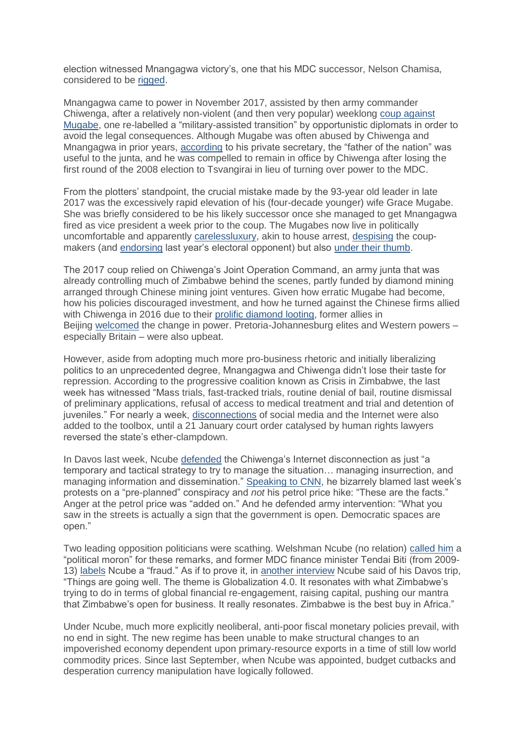election witnessed Mnangagwa victory's, one that his MDC successor, Nelson Chamisa, considered to be [rigged.](https://www.dailymaverick.co.za/article/2019-01-23-emmerson-mnangagwa-exposed/)

Mnangagwa came to power in November 2017, assisted by then army commander Chiwenga, after a relatively non-violent (and then very popular) weeklong [coup against](https://www.counterpunch.org/2017/11/20/zimbabwe-witnessing-an-elite-transition-as-economic-meltdown-looms/)  [Mugabe,](https://www.counterpunch.org/2017/11/20/zimbabwe-witnessing-an-elite-transition-as-economic-meltdown-looms/) one re-labelled a "military-assisted transition" by opportunistic diplomats in order to avoid the legal consequences. Although Mugabe was often abused by Chiwenga and Mnangagwa in prior years, [according](https://zwnews.com/mugabe-was-often-abused-humiliated-by-chiwenga-and-mnangagwa-aide/) to his private secretary, the "father of the nation" was useful to the junta, and he was compelled to remain in office by Chiwenga after losing the first round of the 2008 election to Tsvangirai in lieu of turning over power to the MDC.

From the plotters' standpoint, the crucial mistake made by the 93-year old leader in late 2017 was the excessively rapid elevation of his (four-decade younger) wife Grace Mugabe. She was briefly considered to be his likely successor once she managed to get Mnangagwa fired as vice president a week prior to the coup. The Mugabes now live in politically uncomfortable and apparently [carelessluxury,](https://www.herald.co.zw/just-in-grace-mugabe-to-lose-property/) akin to house arrest, [despising](https://www.thestandard.co.zw/2018/02/25/mugabe-drops-ed-coup-bombshell/) the coupmakers (and [endorsing](https://bulawayo24.com/index-id-news-sc-national-byo-141836.html) last year's electoral opponent) but also [under their thumb.](https://www.enca.com/news/mugabe-ill-can-no-longer-walk-says-mnangagwa)

The 2017 coup relied on Chiwenga's Joint Operation Command, an army junta that was already controlling much of Zimbabwe behind the scenes, partly funded by diamond mining arranged through Chinese mining joint ventures. Given how erratic Mugabe had become, how his policies discouraged investment, and how he turned against the Chinese firms allied with Chiwenga in 2016 due to their [prolific diamond looting,](https://www.thestandard.co.zw/2016/03/14/mugabe-and-the-15-billion-question/) former allies in Beijing [welcomed](http://www.globaltimes.cn/content/1075611.shtml) the change in power. Pretoria-Johannesburg elites and Western powers – especially Britain – were also upbeat.

However, aside from adopting much more pro-business rhetoric and initially liberalizing politics to an unprecedented degree, Mnangagwa and Chiwenga didn't lose their taste for repression. According to the progressive coalition known as Crisis in Zimbabwe, the last week has witnessed "Mass trials, fast-tracked trials, routine denial of bail, routine dismissal of preliminary applications, refusal of access to medical treatment and trial and detention of juveniles." For nearly a week, [disconnections](https://www.theindependent.co.zw/2019/01/25/internet-shutdown-disastrous-for-brand-zim/) of social media and the Internet were also added to the toolbox, until a 21 January court order catalysed by human rights lawyers reversed the state's ether-clampdown.

In Davos last week, Ncube [defended](https://www.youtube.com/watch?v=GzkdVGX6idY) the Chiwenga's Internet disconnection as just "a temporary and tactical strategy to try to manage the situation… managing insurrection, and managing information and dissemination." [Speaking to CNN,](https://www.youtube.com/watch?v=GzkdVGX6idY) he bizarrely blamed last week's protests on a "pre-planned" conspiracy and *not* his petrol price hike: "These are the facts." Anger at the petrol price was "added on." And he defended army intervention: "What you saw in the streets is actually a sign that the government is open. Democratic spaces are open."

Two leading opposition politicians were scathing. Welshman Ncube (no relation) [called him](https://bulawayo24.com/index-id-news-sc-national-byo-154362.html) a "political moron" for these remarks, and former MDC finance minister Tendai Biti (from 2009- 13) [labels](https://news.pindula.co.zw/2018/10/11/video-tendai-biti-speaks-on-meltdown-of-zimbabwe-economy-says-mthuli-ncubes-actions-are-criminal-and-ill-thought/) Ncube a "fraud." As if to prove it, in [another interview](https://www.youtube.com/watch?v=GzkdVGX6idY) Ncube said of his Davos trip, "Things are going well. The theme is Globalization 4.0. It resonates with what Zimbabwe's trying to do in terms of global financial re-engagement, raising capital, pushing our mantra that Zimbabwe's open for business. It really resonates. Zimbabwe is the best buy in Africa."

Under Ncube, much more explicitly neoliberal, anti-poor fiscal monetary policies prevail, with no end in sight. The new regime has been unable to make structural changes to an impoverished economy dependent upon primary-resource exports in a time of still low world commodity prices. Since last September, when Ncube was appointed, budget cutbacks and desperation currency manipulation have logically followed.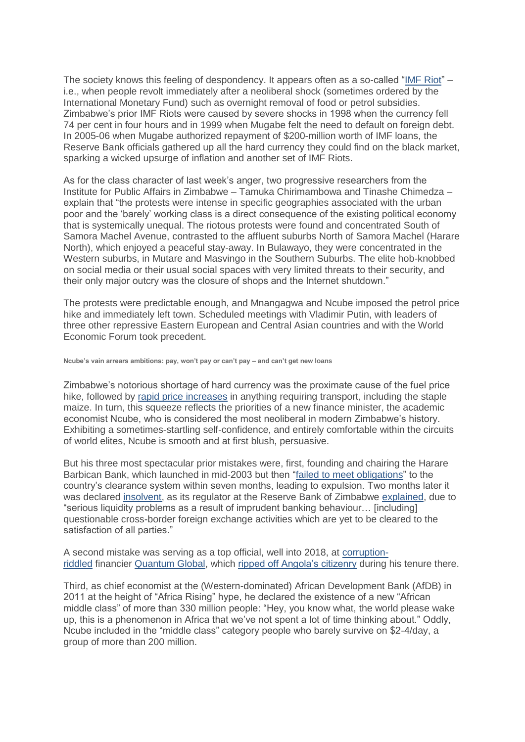The society knows this feeling of despondency. It appears often as a so-called ["IMF Riot"](https://books.google.co.za/books/about/Free_Markets_and_Food_Riots.html?id=eF8Wje79gGYC&printsec=frontcover&source=kp_read_button&redir_esc=y#v=onepage&q&f=false) – i.e., when people revolt immediately after a neoliberal shock (sometimes ordered by the International Monetary Fund) such as overnight removal of food or petrol subsidies. Zimbabwe's prior IMF Riots were caused by severe shocks in 1998 when the currency fell 74 per cent in four hours and in 1999 when Mugabe felt the need to default on foreign debt. In 2005-06 when Mugabe authorized repayment of \$200-million worth of IMF loans, the Reserve Bank officials gathered up all the hard currency they could find on the black market, sparking a wicked upsurge of inflation and another set of IMF Riots.

As for the class character of last week's anger, two progressive researchers from the Institute for Public Affairs in Zimbabwe – Tamuka Chirimambowa and Tinashe Chimedza – explain that "the protests were intense in specific geographies associated with the urban poor and the 'barely' working class is a direct consequence of the existing political economy that is systemically unequal. The riotous protests were found and concentrated South of Samora Machel Avenue, contrasted to the affluent suburbs North of Samora Machel (Harare North), which enjoyed a peaceful stay-away. In Bulawayo, they were concentrated in the Western suburbs, in Mutare and Masvingo in the Southern Suburbs. The elite hob-knobbed on social media or their usual social spaces with very limited threats to their security, and their only major outcry was the closure of shops and the Internet shutdown."

The protests were predictable enough, and Mnangagwa and Ncube imposed the petrol price hike and immediately left town. Scheduled meetings with Vladimir Putin, with leaders of three other repressive Eastern European and Central Asian countries and with the World Economic Forum took precedent.

**Ncube's vain arrears ambitions: pay, won't pay or can't pay – and can't get new loans**

Zimbabwe's notorious shortage of hard currency was the proximate cause of the fuel price hike, followed by [rapid price increases](https://www.bbc.com/news/world-africa-46986151) in anything requiring transport, including the staple maize. In turn, this squeeze reflects the priorities of a new finance minister, the academic economist Ncube, who is considered the most neoliberal in modern Zimbabwe's history. Exhibiting a sometimes-startling self-confidence, and entirely comfortable within the circuits of world elites, Ncube is smooth and at first blush, persuasive.

But his three most spectacular prior mistakes were, first, founding and chairing the Harare Barbican Bank, which launched in mid-2003 but then ["failed to meet obligations"](https://www.zimbabwesituation.com/old/mar26_2004.html) to the country's clearance system within seven months, leading to expulsion. Two months later it was declared [insolvent,](https://allafrica.com/stories/200602240518.html) as its regulator at the Reserve Bank of Zimbabwe [explained,](https://allafrica.com/stories/200404090148.html) due to "serious liquidity problems as a result of imprudent banking behaviour… [including] questionable cross-border foreign exchange activities which are yet to be cleared to the satisfaction of all parties."

A second mistake was serving as a top official, well into 2018, at [corruption](https://news.pindula.co.zw/2018/09/26/mthuli-ncubes-former-boss-arrested-in-angola-together-with-former-presidents-son/)[riddled](https://news.pindula.co.zw/2018/09/26/mthuli-ncubes-former-boss-arrested-in-angola-together-with-former-presidents-son/) financier [Quantum Global,](http://quantumglobalgroup.com/teachers_cat/mthuli-ncube/) which [ripped off Angola's citizenry](https://ewn.co.za/2018/04/29/quantum-global-cries-foul-as-angolan-fund-seeks-more-asset-freezes) during his tenure there.

Third, as chief economist at the (Western-dominated) African Development Bank (AfDB) in 2011 at the height of "Africa Rising" hype, he declared the existence of a new "African middle class" of more than 330 million people: "Hey, you know what, the world please wake up, this is a phenomenon in Africa that we've not spent a lot of time thinking about." Oddly, Ncube included in the "middle class" category people who barely survive on \$2-4/day, a group of more than 200 million.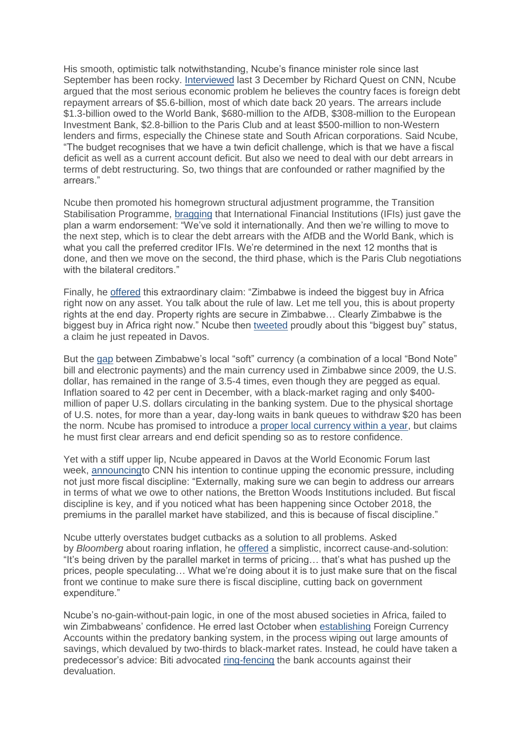His smooth, optimistic talk notwithstanding, Ncube's finance minister role since last September has been rocky. [Interviewed](https://www.youtube.com/watch?v=1LoyW_4TYkE) last 3 December by Richard Quest on CNN, Ncube argued that the most serious economic problem he believes the country faces is foreign debt repayment arrears of \$5.6-billion, most of which date back 20 years. The arrears include \$1.3-billion owed to the World Bank, \$680-million to the AfDB, \$308-million to the European Investment Bank, \$2.8-billion to the Paris Club and at least \$500-million to non-Western lenders and firms, especially the Chinese state and South African corporations. Said Ncube, "The budget recognises that we have a twin deficit challenge, which is that we have a fiscal deficit as well as a current account deficit. But also we need to deal with our debt arrears in terms of debt restructuring. So, two things that are confounded or rather magnified by the arrears."

Ncube then promoted his homegrown structural adjustment programme, the Transition Stabilisation Programme, [bragging](https://www.youtube.com/watch?v=1LoyW_4TYkE) that International Financial Institutions (IFIs) just gave the plan a warm endorsement: "We've sold it internationally. And then we're willing to move to the next step, which is to clear the debt arrears with the AfDB and the World Bank, which is what you call the preferred creditor IFIs. We're determined in the next 12 months that is done, and then we move on the second, the third phase, which is the Paris Club negotiations with the bilateral creditors."

Finally, he [offered](https://www.youtube.com/watch?v=1LoyW_4TYkE) this extraordinary claim: "Zimbabwe is indeed the biggest buy in Africa right now on any asset. You talk about the rule of law. Let me tell you, this is about property rights at the end day. Property rights are secure in Zimbabwe… Clearly Zimbabwe is the biggest buy in Africa right now." Ncube then [tweeted](https://twitter.com/MthuliNcube/status/1069757496980578306) proudly about this "biggest buy" status, a claim he just repeated in Davos.

But the [gap](https://www.bbc.com/news/world-africa-46986151) between Zimbabwe's local "soft" currency (a combination of a local "Bond Note" bill and electronic payments) and the main currency used in Zimbabwe since 2009, the U.S. dollar, has remained in the range of 3.5-4 times, even though they are pegged as equal. Inflation soared to 42 per cent in December, with a black-market raging and only \$400 million of paper U.S. dollars circulating in the banking system. Due to the physical shortage of U.S. notes, for more than a year, day-long waits in bank queues to withdraw \$20 has been the norm. Ncube has promised to introduce a [proper local currency within a year,](https://www.techzim.co.zw/2019/01/its-good-for-zim-to-introduce-a-new-currency-south-africas-finance-minister-tito-mboweni/) but claims he must first clear arrears and end deficit spending so as to restore confidence.

Yet with a stiff upper lip, Ncube appeared in Davos at the World Economic Forum last week, [announcingt](https://twitter.com/economics/status/1087619917061320704)o CNN his intention to continue upping the economic pressure, including not just more fiscal discipline: "Externally, making sure we can begin to address our arrears in terms of what we owe to other nations, the Bretton Woods Institutions included. But fiscal discipline is key, and if you noticed what has been happening since October 2018, the premiums in the parallel market have stabilized, and this is because of fiscal discipline."

Ncube utterly overstates budget cutbacks as a solution to all problems. Asked by *Bloomberg* about roaring inflation, he [offered](https://twitter.com/economics/status/1087619917061320704) a simplistic, incorrect cause-and-solution: "It's being driven by the parallel market in terms of pricing… that's what has pushed up the prices, people speculating… What we're doing about it is to just make sure that on the fiscal front we continue to make sure there is fiscal discipline, cutting back on government expenditure."

Ncube's no-gain-without-pain logic, in one of the most abused societies in Africa, failed to win Zimbabweans' confidence. He erred last October when [establishing](https://allafrica.com/stories/201810260100.html) Foreign Currency Accounts within the predatory banking system, in the process wiping out large amounts of savings, which devalued by two-thirds to black-market rates. Instead, he could have taken a predecessor's advice: Biti advocated [ring-fencing](https://www.newsday.co.zw/2017/10/demonetise-bond-notes-biti/) the bank accounts against their devaluation.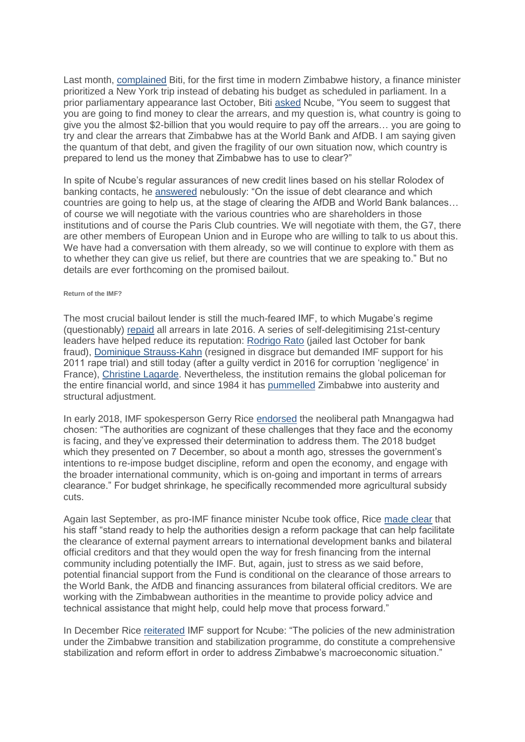Last month, [complained](https://www.dailynews.co.zw/articles/2018/12/08/biti-blasts-globe-trotting-absent-finance-minister) Biti, for the first time in modern Zimbabwe history, a finance minister prioritized a New York trip instead of debating his budget as scheduled in parliament. In a prior parliamentary appearance last October, Biti [asked](https://www.thezimbabwemail.com/parliament-parliament/biti-vs-mthuli-parly-debate-transcript-former-and-current-finance-ministers-go-head-to-head-on-economic-reforms/) Ncube, "You seem to suggest that you are going to find money to clear the arrears, and my question is, what country is going to give you the almost \$2-billion that you would require to pay off the arrears… you are going to try and clear the arrears that Zimbabwe has at the World Bank and AfDB. I am saying given the quantum of that debt, and given the fragility of our own situation now, which country is prepared to lend us the money that Zimbabwe has to use to clear?"

In spite of Ncube's regular assurances of new credit lines based on his stellar Rolodex of banking contacts, he [answered](https://www.thezimbabwemail.com/parliament-parliament/biti-vs-mthuli-parly-debate-transcript-former-and-current-finance-ministers-go-head-to-head-on-economic-reforms/) nebulously: "On the issue of debt clearance and which countries are going to help us, at the stage of clearing the AfDB and World Bank balances… of course we will negotiate with the various countries who are shareholders in those institutions and of course the Paris Club countries. We will negotiate with them, the G7, there are other members of European Union and in Europe who are willing to talk to us about this. We have had a conversation with them already, so we will continue to explore with them as to whether they can give us relief, but there are countries that we are speaking to." But no details are ever forthcoming on the promised bailout.

## **Return of the IMF?**

The most crucial bailout lender is still the much-feared IMF, to which Mugabe's regime (questionably) [repaid](https://www.imf.org/en/News/Articles/2018/07/12/tr071218-transcript-of-imf-press-briefing) all arrears in late 2016. A series of self-delegitimising 21st-century leaders have helped reduce its reputation: [Rodrigo Rato](https://www.nytimes.com/2018/10/24/business/rodrigo-rato-bankia-prison.html) (jailed last October for bank fraud), [Dominique Strauss-Kahn](https://www.nytimes.com/2011/09/27/nyregion/strauss-kahn-lawyers-say-he-had-diplomatic-immunity.html) (resigned in disgrace but demanded IMF support for his 2011 rape trial) and still today (after a guilty verdict in 2016 for corruption 'negligence' in France), [Christine Lagarde.](https://www.telegraph.co.uk/news/2016/12/19/imf-chief-christine-lagarde-found-negligence/) Nevertheless, the institution remains the global policeman for the entire financial world, and since 1984 it has [pummelled](https://www.researchgate.net/profile/Patrick_Bond/publication/250226419_Uneven_Zimbabwe_A_Study_of_Finance_Development_and_Underdevelopment/links/586d302308ae6eb871bce0e0/Uneven-Zimbabwe-A-Study-of-Finance-Development-and-Underdevelopment.pdf) Zimbabwe into austerity and structural adjustment.

In early 2018, IMF spokesperson Gerry Rice [endorsed](https://www.imf.org/en/News/Articles/2018/02/01/tr020118-transcript-of-imf-press-briefing) the neoliberal path Mnangagwa had chosen: "The authorities are cognizant of these challenges that they face and the economy is facing, and they've expressed their determination to address them. The 2018 budget which they presented on 7 December, so about a month ago, stresses the government's intentions to re-impose budget discipline, reform and open the economy, and engage with the broader international community, which is on-going and important in terms of arrears clearance." For budget shrinkage, he specifically recommended more agricultural subsidy cuts.

Again last September, as pro-IMF finance minister Ncube took office, Rice [made clear](https://www.imf.org/en/News/Articles/2018/09/20/tr092018-transcript-of-imf-press-briefing) that his staff "stand ready to help the authorities design a reform package that can help facilitate the clearance of external payment arrears to international development banks and bilateral official creditors and that they would open the way for fresh financing from the internal community including potentially the IMF. But, again, just to stress as we said before, potential financial support from the Fund is conditional on the clearance of those arrears to the World Bank, the AfDB and financing assurances from bilateral official creditors. We are working with the Zimbabwean authorities in the meantime to provide policy advice and technical assistance that might help, could help move that process forward."

In December Rice [reiterated](https://www.imf.org/en/News/Articles/2018/12/14/tr121318-transcript-of-imf-press-briefing) IMF support for Ncube: "The policies of the new administration under the Zimbabwe transition and stabilization programme, do constitute a comprehensive stabilization and reform effort in order to address Zimbabwe's macroeconomic situation."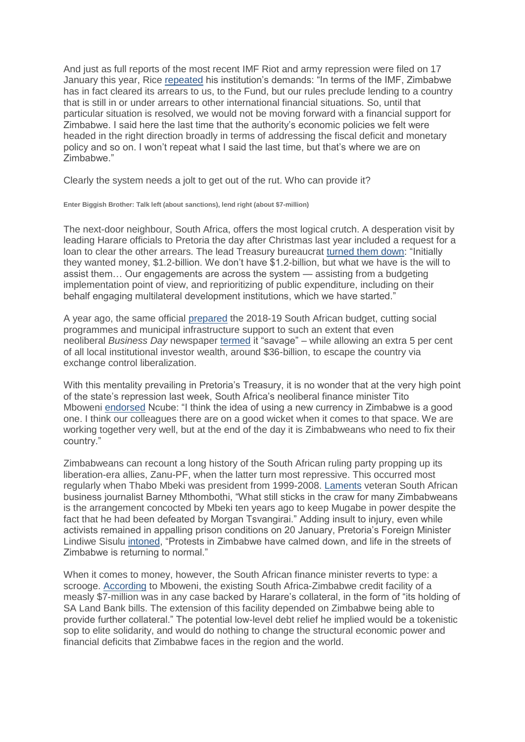And just as full reports of the most recent IMF Riot and army repression were filed on 17 January this year, Rice [repeated](https://www.imf.org/en/News/Articles/2019/01/17/tr011719-transcript-of-imf-press-briefing) his institution's demands: "In terms of the IMF, Zimbabwe has in fact cleared its arrears to us, to the Fund, but our rules preclude lending to a country that is still in or under arrears to other international financial situations. So, until that particular situation is resolved, we would not be moving forward with a financial support for Zimbabwe. I said here the last time that the authority's economic policies we felt were headed in the right direction broadly in terms of addressing the fiscal deficit and monetary policy and so on. I won't repeat what I said the last time, but that's where we are on Zimbabwe."

Clearly the system needs a jolt to get out of the rut. Who can provide it?

**Enter Biggish Brother: Talk left (about sanctions), lend right (about \$7-million)**

The next-door neighbour, South Africa, offers the most logical crutch. A desperation visit by leading Harare officials to Pretoria the day after Christmas last year included a request for a loan to clear the other arrears. The lead Treasury bureaucrat [turned them down:](https://www.timeslive.co.za/sunday-times/business/2019-01-20-no-christmas-box-for-zimbabwe/) "Initially they wanted money, \$1.2-billion. We don't have \$1.2-billion, but what we have is the will to assist them… Our engagements are across the system — assisting from a budgeting implementation point of view, and reprioritizing of public expenditure, including on their behalf engaging multilateral development institutions, which we have started."

A year ago, the same official [prepared](https://mg.co.za/article/2018-02-23-00-a-case-of-talk-left-budget-right) the 2018-19 South African budget, cutting social programmes and municipal infrastructure support to such an extent that even neoliberal *Business Day* newspaper [termed](https://www.pressreader.com/south-africa/business-day/20180222/281487866830671) it "savage" – while allowing an extra 5 per cent of all local institutional investor wealth, around \$36-billion, to escape the country via exchange control liberalization.

With this mentality prevailing in Pretoria's Treasury, it is no wonder that at the very high point of the state's repression last week, South Africa's neoliberal finance minister Tito Mboweni [endorsed](https://www.techzim.co.zw/2019/01/its-good-for-zim-to-introduce-a-new-currency-south-africas-finance-minister-tito-mboweni/) Ncube: "I think the idea of using a new currency in Zimbabwe is a good one. I think our colleagues there are on a good wicket when it comes to that space. We are working together very well, but at the end of the day it is Zimbabweans who need to fix their country."

Zimbabweans can recount a long history of the South African ruling party propping up its liberation-era allies, Zanu-PF, when the latter turn most repressive. This occurred most regularly when Thabo Mbeki was president from 1999-2008. [Laments](https://www.businesslive.co.za/rdm/news/2019-01-22-barney-mthombothi-history-shows-sa-would-do-well-to-resist-rushing-to-zimbabwes-aid/) veteran South African business journalist Barney Mthombothi, "What still sticks in the craw for many Zimbabweans is the arrangement concocted by Mbeki ten years ago to keep Mugabe in power despite the fact that he had been defeated by Morgan Tsvangirai." Adding insult to injury, even while activists remained in appalling prison conditions on 20 January, Pretoria's Foreign Minister Lindiwe Sisulu [intoned,](https://www.dailymaverick.co.za/article/2019-01-21-mboweni-south-africa-plans-to-help-bail-out-zimbabwe/) "Protests in Zimbabwe have calmed down, and life in the streets of Zimbabwe is returning to normal."

When it comes to money, however, the South African finance minister reverts to type: a scrooge. [According](https://www.dailymaverick.co.za/article/2019-01-21-mboweni-south-africa-plans-to-help-bail-out-zimbabwe/) to Mboweni, the existing South Africa-Zimbabwe credit facility of a measly \$7-million was in any case backed by Harare's collateral, in the form of "its holding of SA Land Bank bills. The extension of this facility depended on Zimbabwe being able to provide further collateral." The potential low-level debt relief he implied would be a tokenistic sop to elite solidarity, and would do nothing to change the structural economic power and financial deficits that Zimbabwe faces in the region and the world.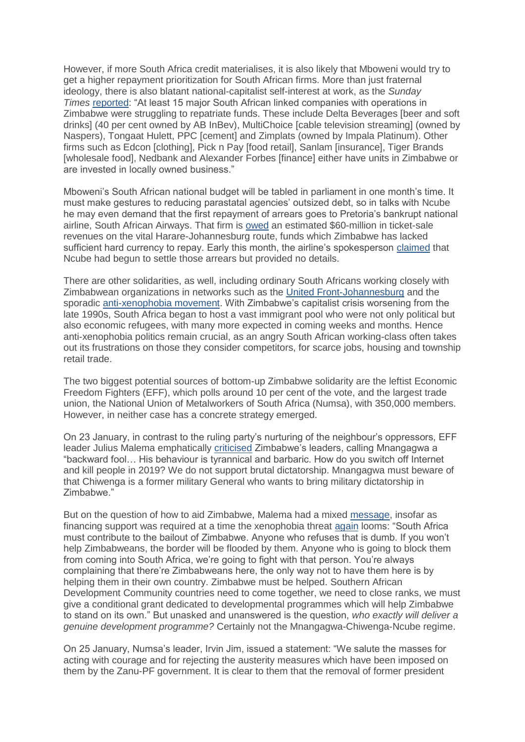However, if more South Africa credit materialises, it is also likely that Mboweni would try to get a higher repayment prioritization for South African firms. More than just fraternal ideology, there is also blatant national-capitalist self-interest at work, as the *Sunday Times* [reported:](https://www.pressreader.com/south-africa/sunday-times/20190120/281556587011845) "At least 15 major South African linked companies with operations in Zimbabwe were struggling to repatriate funds. These include Delta Beverages [beer and soft drinks] (40 per cent owned by AB InBev), MultiChoice [cable television streaming] (owned by Naspers), Tongaat Hulett, PPC [cement] and Zimplats (owned by Impala Platinum). Other firms such as Edcon [clothing], Pick n Pay [food retail], Sanlam [insurance], Tiger Brands [wholesale food], Nedbank and Alexander Forbes [finance] either have units in Zimbabwe or are invested in locally owned business."

Mboweni's South African national budget will be tabled in parliament in one month's time. It must make gestures to reducing parastatal agencies' outsized debt, so in talks with Ncube he may even demand that the first repayment of arrears goes to Pretoria's bankrupt national airline, South African Airways. That firm is [owed](https://www.pressreader.com/south-africa/sunday-times/20190120/281556587011845) an estimated \$60-million in ticket-sale revenues on the vital Harare-Johannesburg route, funds which Zimbabwe has lacked sufficient hard currency to repay. Early this month, the airline's spokesperson [claimed](https://www.iol.co.za/news/politics/saa-starting-to-collect-zim-millions-18749440) that Ncube had begun to settle those arrears but provided no details.

There are other solidarities, as well, including ordinary South Africans working closely with Zimbabwean organizations in networks such as the [United Front-Johannesburg](http://wwmp.org.za/index.php/2-uncategorised/325-united-front-watch-out-the-xenophobia-monster-is-coming-back) and the sporadic [anti-xenophobia movement.](https://www.cairn.info/revue-journal-des-anthropologues-2016-1-page-241.htmhttps:/www.sahistory.org.za/article/xenophobic-violence-democratic-south-africa) With Zimbabwe's capitalist crisis worsening from the late 1990s, South Africa began to host a vast immigrant pool who were not only political but also economic refugees, with many more expected in coming weeks and months. Hence anti-xenophobia politics remain crucial, as an angry South African working-class often takes out its frustrations on those they consider competitors, for scarce jobs, housing and township retail trade.

The two biggest potential sources of bottom-up Zimbabwe solidarity are the leftist Economic Freedom Fighters (EFF), which polls around 10 per cent of the vote, and the largest trade union, the National Union of Metalworkers of South Africa (Numsa), with 350,000 members. However, in neither case has a concrete strategy emerged.

On 23 January, in contrast to the ruling party's nurturing of the neighbour's oppressors, EFF leader Julius Malema emphatically [criticised](https://bulawayo24.com/index-id-news-sc-national-byo-154416.html) Zimbabwe's leaders, calling Mnangagwa a "backward fool… His behaviour is tyrannical and barbaric. How do you switch off Internet and kill people in 2019? We do not support brutal dictatorship. Mnangagwa must beware of that Chiwenga is a former military General who wants to bring military dictatorship in Zimbabwe."

But on the question of how to aid Zimbabwe, Malema had a mixed [message,](https://www.zimlive.com/2019/01/malema-lashes-backward-fool-mnangagwa-over-army-crackdown-internet-blackout/) insofar as financing support was required at a time the xenophobia threat [again](https://www.counterpunch.org/2015/05/04/the-rise-of-south-african-xenophobia/) looms: "South Africa must contribute to the bailout of Zimbabwe. Anyone who refuses that is dumb. If you won't help Zimbabweans, the border will be flooded by them. Anyone who is going to block them from coming into South Africa, we're going to fight with that person. You're always complaining that there're Zimbabweans here, the only way not to have them here is by helping them in their own country. Zimbabwe must be helped. Southern African Development Community countries need to come together, we need to close ranks, we must give a conditional grant dedicated to developmental programmes which will help Zimbabwe to stand on its own." But unasked and unanswered is the question, *who exactly will deliver a genuine development programme?* Certainly not the Mnangagwa-Chiwenga-Ncube regime.

On 25 January, Numsa's leader, Irvin Jim, issued a statement: "We salute the masses for acting with courage and for rejecting the austerity measures which have been imposed on them by the Zanu-PF government. It is clear to them that the removal of former president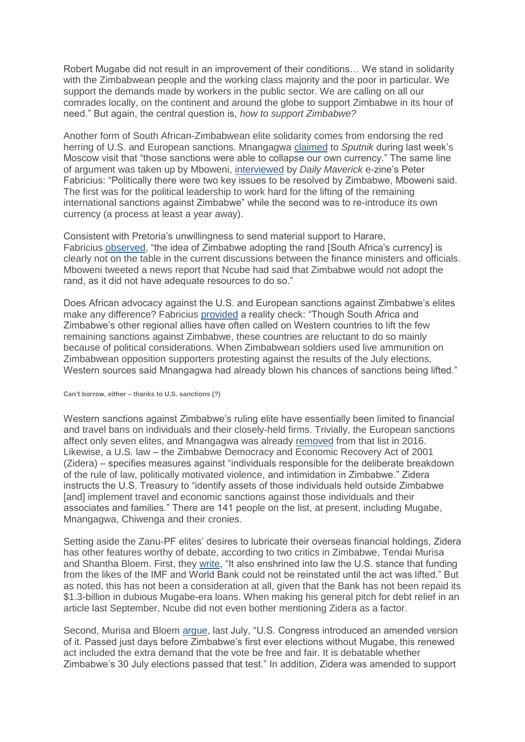Robert Mugabe did not result in an improvement of their conditions… We stand in solidarity with the Zimbabwean people and the working class majority and the poor in particular. We support the demands made by workers in the public sector. We are calling on all our comrades locally, on the continent and around the globe to support Zimbabwe in its hour of need." But again, the central question is, *how to support Zimbabwe?*

Another form of South African-Zimbabwean elite solidarity comes from endorsing the red herring of U.S. and European sanctions. Mnangagwa [claimed](https://sputniknews.com/world/201901151071486990-economy-russia-visit-zimbabwe/) to *Sputnik* during last week's Moscow visit that "those sanctions were able to collapse our own currency." The same line of argument was taken up by Mboweni, [interviewed](https://www.dailymaverick.co.za/article/2019-01-21-mboweni-south-africa-plans-to-help-bail-out-zimbabwe/) by *Daily Maverick* e-zine's Peter Fabricius: "Politically there were two key issues to be resolved by Zimbabwe, Mboweni said. The first was for the political leadership to work hard for the lifting of the remaining international sanctions against Zimbabwe" while the second was to re-introduce its own currency (a process at least a year away).

Consistent with Pretoria's unwillingness to send material support to Harare, Fabricius [observed,](https://www.dailymaverick.co.za/article/2019-01-21-mboweni-south-africa-plans-to-help-bail-out-zimbabwe/) "the idea of Zimbabwe adopting the rand [South Africa's currency] is clearly not on the table in the current discussions between the finance ministers and officials. Mboweni tweeted a news report that Ncube had said that Zimbabwe would not adopt the rand, as it did not have adequate resources to do so."

Does African advocacy against the U.S. and European sanctions against Zimbabwe's elites make any difference? Fabricius [provided](https://www.dailymaverick.co.za/article/2019-01-21-mboweni-south-africa-plans-to-help-bail-out-zimbabwe/) a reality check: "Though South Africa and Zimbabwe's other regional allies have often called on Western countries to lift the few remaining sanctions against Zimbabwe, these countries are reluctant to do so mainly because of political considerations. When Zimbabwean soldiers used live ammunition on Zimbabwean opposition supporters protesting against the results of the July elections, Western sources said Mnangagwa had already blown his chances of sanctions being lifted."

**Can't borrow, either – thanks to U.S. sanctions (?)**

Western sanctions against Zimbabwe's ruling elite have essentially been limited to financial and travel bans on individuals and their closely-held firms. Trivially, the European sanctions affect only seven elites, and Mnangagwa was already [removed](https://europeansanctions.com/2017/11/27/zimbabwes-new-president-and-us-eu-sanctions/) from that list in 2016. Likewise, a U.S. law – the Zimbabwe Democracy and Economic Recovery Act of 2001 (Zidera) – specifies measures against "individuals responsible for the deliberate breakdown of the rule of law, politically motivated violence, and intimidation in Zimbabwe." Zidera instructs the U.S. Treasury to "identify assets of those individuals held outside Zimbabwe [and] implement travel and economic sanctions against those individuals and their associates and families." There are 141 people on the list, at present, including Mugabe, Mnangagwa, Chiwenga and their cronies.

Setting aside the Zanu-PF elites' desires to lubricate their overseas financial holdings, Zidera has other features worthy of debate, according to two critics in Zimbabwe, Tendai Murisa and Shantha Bloem. First, they [write,](https://africanarguments.org/2018/11/08/hey-america-time-end-zimbabwe-economic-punishment-zidera/) "It also enshrined into law the U.S. stance that funding from the likes of the IMF and World Bank could not be reinstated until the act was lifted." But as noted, this has not been a consideration at all, given that the Bank has not been repaid its \$1.3-billion in dubious Mugabe-era loans. When making his general pitch for debt relief in an article last September, Ncube did not even bother mentioning Zidera as a factor.

Second, Murisa and Bloem [argue,](https://africanarguments.org/2018/11/08/hey-america-time-end-zimbabwe-economic-punishment-zidera/) last July, "U.S. Congress introduced an amended version of it. Passed just days before Zimbabwe's first ever elections without Mugabe, this renewed act included the extra demand that the vote be free and fair. It is debatable whether Zimbabwe's 30 July elections passed that test." In addition, Zidera was amended to support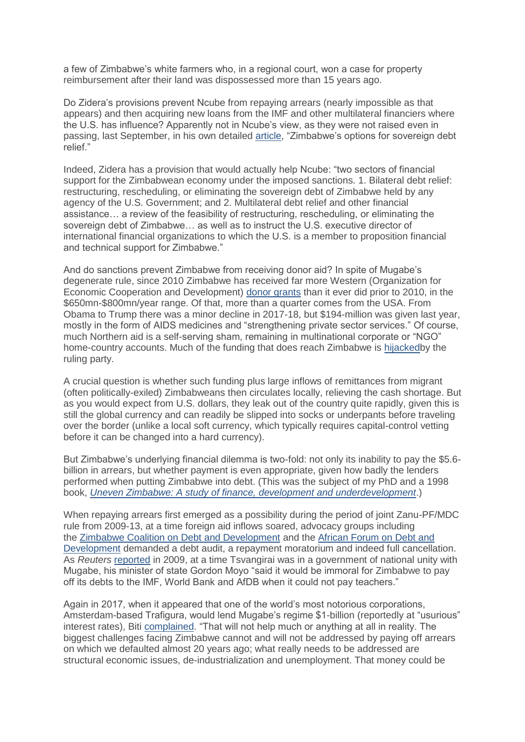a few of Zimbabwe's white farmers who, in a regional court, won a case for property reimbursement after their land was dispossessed more than 15 years ago.

Do Zidera's provisions prevent Ncube from repaying arrears (nearly impossible as that appears) and then acquiring new loans from the IMF and other multilateral financiers where the U.S. has influence? Apparently not in Ncube's view, as they were not raised even in passing, last September, in his own detailed [article,](https://www.dailymaverick.co.za/article/2018-09-03-zimbabwes-options-for-sovereign-debt-relief/) "Zimbabwe's options for sovereign debt relief."

Indeed, Zidera has a provision that would actually help Ncube: "two sectors of financial support for the Zimbabwean economy under the imposed sanctions. 1. Bilateral debt relief: restructuring, rescheduling, or eliminating the sovereign debt of Zimbabwe held by any agency of the U.S. Government; and 2. Multilateral debt relief and other financial assistance… a review of the feasibility of restructuring, rescheduling, or eliminating the sovereign debt of Zimbabwe… as well as to instruct the U.S. executive director of international financial organizations to which the U.S. is a member to proposition financial and technical support for Zimbabwe."

And do sanctions prevent Zimbabwe from receiving donor aid? In spite of Mugabe's degenerate rule, since 2010 Zimbabwe has received far more Western (Organization for Economic Cooperation and Development) [donor grants](https://www.oecd.org/dac/financing-sustainable-development/development-finance-data/Africa-Development-Aid-at-a-Glance-2018.pdf) than it ever did prior to 2010, in the \$650mn-\$800mn/year range. Of that, more than a quarter comes from the USA. From Obama to Trump there was a minor decline in 2017-18, but \$194-million was given last year, mostly in the form of AIDS medicines and "strengthening private sector services." Of course, much Northern aid is a self-serving sham, remaining in multinational corporate or "NGO" home-country accounts. Much of the funding that does reach Zimbabwe is [hijackedb](http://solidaritypeacetrust.org/1092/foreign-aid-dilemmas/)y the ruling party.

A crucial question is whether such funding plus large inflows of remittances from migrant (often politically-exiled) Zimbabweans then circulates locally, relieving the cash shortage. But as you would expect from U.S. dollars, they leak out of the country quite rapidly, given this is still the global currency and can readily be slipped into socks or underpants before traveling over the border (unlike a local soft currency, which typically requires capital-control vetting before it can be changed into a hard currency).

But Zimbabwe's underlying financial dilemma is two-fold: not only its inability to pay the \$5.6 billion in arrears, but whether payment is even appropriate, given how badly the lenders performed when putting Zimbabwe into debt. (This was the subject of my PhD and a 1998 book, *[Uneven Zimbabwe: A study of finance, development and underdevelopment](https://www.researchgate.net/profile/Patrick_Bond/publication/250226419_Uneven_Zimbabwe_A_Study_of_Finance_Development_and_Underdevelopment/links/586d302308ae6eb871bce0e0/Uneven-Zimbabwe-A-Study-of-Finance-Development-and-Underdevelopment.pdf)*.)

When repaying arrears first emerged as a possibility during the period of joint Zanu-PF/MDC rule from 2009-13, at a time foreign aid inflows soared, advocacy groups including the [Zimbabwe Coalition on Debt and Development](https://www.thezimbabwean.co/2010/10/zim-needs-debt-moratorium-zimcodd-2/) and the [African Forum on Debt and](https://www.brettonwoodsproject.org/2009/09/art-565306/)  [Development](https://www.brettonwoodsproject.org/2009/09/art-565306/) demanded a debt audit, a repayment moratorium and indeed full cancellation. As *Reuters* [reported](https://www.reuters.com/article/idUSLQ720260) in 2009, at a time Tsvangirai was in a government of national unity with Mugabe, his minister of state Gordon Moyo "said it would be immoral for Zimbabwe to pay off its debts to the IMF, World Bank and AfDB when it could not pay teachers."

Again in 2017, when it appeared that one of the world's most notorious corporations, Amsterdam-based Trafigura, would lend Mugabe's regime \$1-billion (reportedly at "usurious" interest rates), Biti [complained.](https://www.theindependent.co.zw/2017/04/28/trafigura-gives-zim-us1-billion-bailout/) "That will not help much or anything at all in reality. The biggest challenges facing Zimbabwe cannot and will not be addressed by paying off arrears on which we defaulted almost 20 years ago; what really needs to be addressed are structural economic issues, de-industrialization and unemployment. That money could be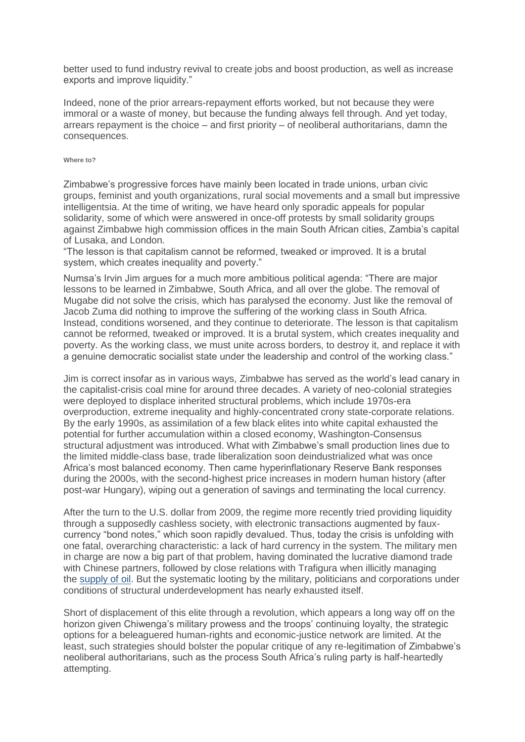better used to fund industry revival to create jobs and boost production, as well as increase exports and improve liquidity."

Indeed, none of the prior arrears-repayment efforts worked, but not because they were immoral or a waste of money, but because the funding always fell through. And yet today, arrears repayment is the choice – and first priority – of neoliberal authoritarians, damn the consequences.

## **Where to?**

Zimbabwe's progressive forces have mainly been located in trade unions, urban civic groups, feminist and youth organizations, rural social movements and a small but impressive intelligentsia. At the time of writing, we have heard only sporadic appeals for popular solidarity, some of which were answered in once-off protests by small solidarity groups against Zimbabwe high commission offices in the main South African cities, Zambia's capital of Lusaka, and London.

"The lesson is that capitalism cannot be reformed, tweaked or improved. It is a brutal system, which creates inequality and poverty."

Numsa's Irvin Jim argues for a much more ambitious political agenda: "There are major lessons to be learned in Zimbabwe, South Africa, and all over the globe. The removal of Mugabe did not solve the crisis, which has paralysed the economy. Just like the removal of Jacob Zuma did nothing to improve the suffering of the working class in South Africa. Instead, conditions worsened, and they continue to deteriorate. The lesson is that capitalism cannot be reformed, tweaked or improved. It is a brutal system, which creates inequality and poverty. As the working class, we must unite across borders, to destroy it, and replace it with a genuine democratic socialist state under the leadership and control of the working class."

Jim is correct insofar as in various ways, Zimbabwe has served as the world's lead canary in the capitalist-crisis coal mine for around three decades. A variety of neo-colonial strategies were deployed to displace inherited structural problems, which include 1970s-era overproduction, extreme inequality and highly-concentrated crony state-corporate relations. By the early 1990s, as assimilation of a few black elites into white capital exhausted the potential for further accumulation within a closed economy, Washington-Consensus structural adjustment was introduced. What with Zimbabwe's small production lines due to the limited middle-class base, trade liberalization soon deindustrialized what was once Africa's most balanced economy. Then came hyperinflationary Reserve Bank responses during the 2000s, with the second-highest price increases in modern human history (after post-war Hungary), wiping out a generation of savings and terminating the local currency.

After the turn to the U.S. dollar from 2009, the regime more recently tried providing liquidity through a supposedly cashless society, with electronic transactions augmented by fauxcurrency "bond notes," which soon rapidly devalued. Thus, today the crisis is unfolding with one fatal, overarching characteristic: a lack of hard currency in the system. The military men in charge are now a big part of that problem, having dominated the lucrative diamond trade with Chinese partners, followed by close relations with Trafigura when illicitly managing the [supply of oil.](https://www.africa-confidential.com/article/id/12473/Trafigura_in_a_tug-of-war) But the systematic looting by the military, politicians and corporations under conditions of structural underdevelopment has nearly exhausted itself.

Short of displacement of this elite through a revolution, which appears a long way off on the horizon given Chiwenga's military prowess and the troops' continuing loyalty, the strategic options for a beleaguered human-rights and economic-justice network are limited. At the least, such strategies should bolster the popular critique of any re-legitimation of Zimbabwe's neoliberal authoritarians, such as the process South Africa's ruling party is half-heartedly attempting.